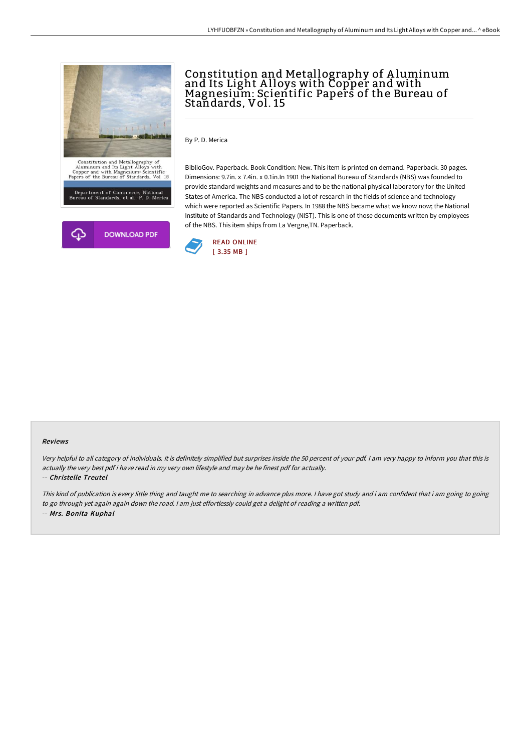

# Constitution and Metallography of A luminum and Its Light A lloys with Copper and with Magnesium: Scientific Papers of the Bureau of Standards, Vol. 15

By P. D. Merica

BiblioGov. Paperback. Book Condition: New. This item is printed on demand. Paperback. 30 pages. Dimensions: 9.7in. x 7.4in. x 0.1in.In 1901 the National Bureau of Standards (NBS) was founded to provide standard weights and measures and to be the national physical laboratory for the United States of America. The NBS conducted a lot of research in the fields of science and technology which were reported as Scientific Papers. In 1988 the NBS became what we know now; the National Institute of Standards and Technology (NIST). This is one of those documents written by employees of the NBS. This item ships from La Vergne,TN. Paperback.



#### Reviews

Very helpful to all category of individuals. It is definitely simplified but surprises inside the <sup>50</sup> percent of your pdf. <sup>I</sup> am very happy to inform you that this is actually the very best pdf i have read in my very own lifestyle and may be he finest pdf for actually.

#### -- Christelle Treutel

This kind of publication is every little thing and taught me to searching in advance plus more. <sup>I</sup> have got study and i am confident that i am going to going to go through yet again again down the road. <sup>I</sup> am just effortlessly could get <sup>a</sup> delight of reading <sup>a</sup> written pdf. -- Mrs. Bonita Kuphal